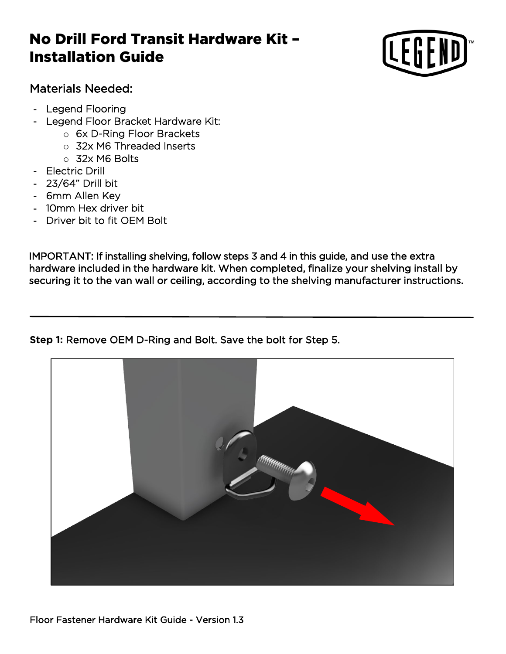## No Drill Ford Transit Hardware Kit – Installation Guide



## Materials Needed:

- Legend Flooring
- Legend Floor Bracket Hardware Kit:
	- o 6x D-Ring Floor Brackets
	- o 32x M6 Threaded Inserts
	- o 32x M6 Bolts
- Electric Drill
- 23/64" Drill bit
- 6mm Allen Key
- 10mm Hex driver bit
- Driver bit to fit OEM Bolt

IMPORTANT: If installing shelving, follow steps 3 and 4 in this guide, and use the extra hardware included in the hardware kit. When completed, finalize your shelving install by securing it to the van wall or ceiling, according to the shelving manufacturer instructions.

## **Step 1:** Remove OEM D-Ring and Bolt. Save the bolt for Step 5.

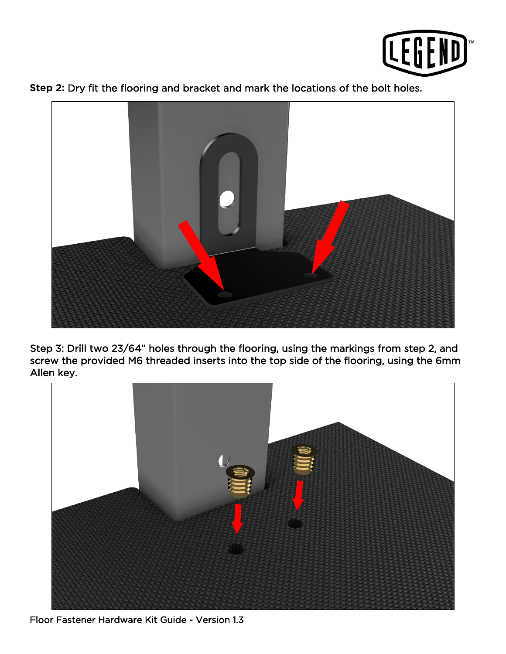





Step 3: Drill two 23/64" holes through the flooring, using the markings from step 2, and screw the provided M6 threaded inserts into the top side of the flooring, using the 6mm Allen key.



Floor Fastener Hardware Kit Guide - Version 1.3